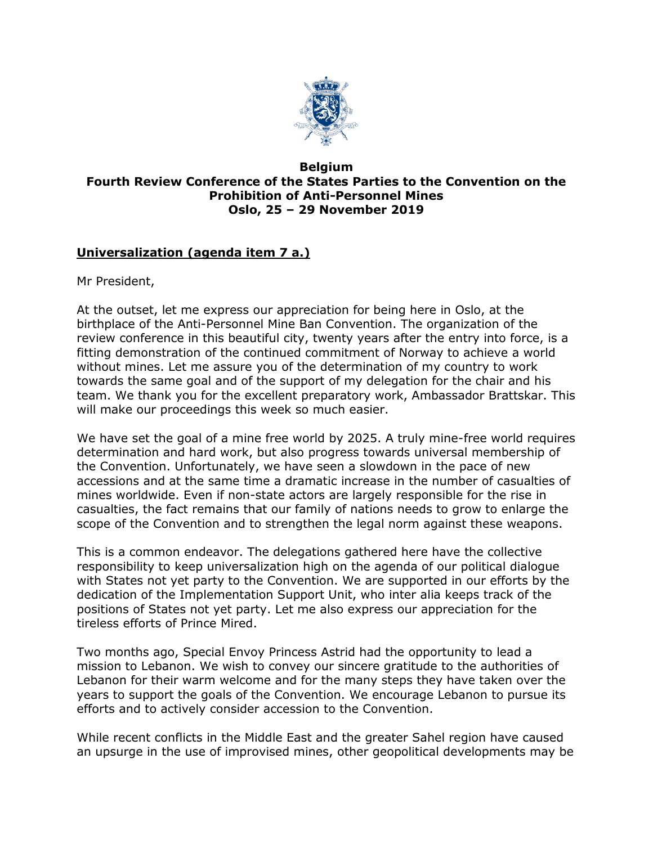

## **Belgium Fourth Review Conference of the States Parties to the Convention on the Prohibition of Anti-Personnel Mines Oslo, 25 – 29 November 2019**

## **Universalization (agenda item 7 a.)**

Mr President,

At the outset, let me express our appreciation for being here in Oslo, at the birthplace of the Anti-Personnel Mine Ban Convention. The organization of the review conference in this beautiful city, twenty years after the entry into force, is a fitting demonstration of the continued commitment of Norway to achieve a world without mines. Let me assure you of the determination of my country to work towards the same goal and of the support of my delegation for the chair and his team. We thank you for the excellent preparatory work, Ambassador Brattskar. This will make our proceedings this week so much easier.

We have set the goal of a mine free world by 2025. A truly mine-free world requires determination and hard work, but also progress towards universal membership of the Convention. Unfortunately, we have seen a slowdown in the pace of new accessions and at the same time a dramatic increase in the number of casualties of mines worldwide. Even if non-state actors are largely responsible for the rise in casualties, the fact remains that our family of nations needs to grow to enlarge the scope of the Convention and to strengthen the legal norm against these weapons.

This is a common endeavor. The delegations gathered here have the collective responsibility to keep universalization high on the agenda of our political dialogue with States not yet party to the Convention. We are supported in our efforts by the dedication of the Implementation Support Unit, who inter alia keeps track of the positions of States not yet party. Let me also express our appreciation for the tireless efforts of Prince Mired.

Two months ago, Special Envoy Princess Astrid had the opportunity to lead a mission to Lebanon. We wish to convey our sincere gratitude to the authorities of Lebanon for their warm welcome and for the many steps they have taken over the years to support the goals of the Convention. We encourage Lebanon to pursue its efforts and to actively consider accession to the Convention.

While recent conflicts in the Middle East and the greater Sahel region have caused an upsurge in the use of improvised mines, other geopolitical developments may be